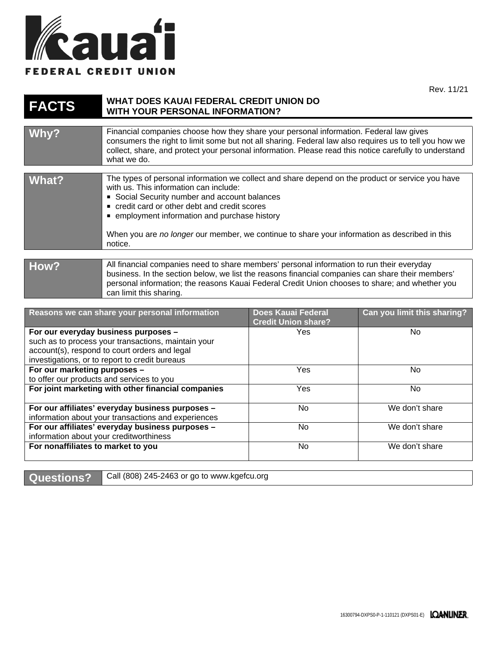

 $1/21$ 

ng?

|                                                                                                                                                                                                |                                                                                                                                                                                                                                                                                                                                                                                                       |                                                         | Rev. 11/2                   |
|------------------------------------------------------------------------------------------------------------------------------------------------------------------------------------------------|-------------------------------------------------------------------------------------------------------------------------------------------------------------------------------------------------------------------------------------------------------------------------------------------------------------------------------------------------------------------------------------------------------|---------------------------------------------------------|-----------------------------|
| <b>FACTS</b>                                                                                                                                                                                   | <b>WHAT DOES KAUAI FEDERAL CREDIT UNION DO</b><br><b>WITH YOUR PERSONAL INFORMATION?</b>                                                                                                                                                                                                                                                                                                              |                                                         |                             |
|                                                                                                                                                                                                |                                                                                                                                                                                                                                                                                                                                                                                                       |                                                         |                             |
| Why?                                                                                                                                                                                           | Financial companies choose how they share your personal information. Federal law gives<br>consumers the right to limit some but not all sharing. Federal law also requires us to tell you how we<br>collect, share, and protect your personal information. Please read this notice carefully to understand<br>what we do.                                                                             |                                                         |                             |
|                                                                                                                                                                                                |                                                                                                                                                                                                                                                                                                                                                                                                       |                                                         |                             |
| <b>What?</b>                                                                                                                                                                                   | The types of personal information we collect and share depend on the product or service you have<br>with us. This information can include:<br>Social Security number and account balances<br>credit card or other debt and credit scores<br>■ employment information and purchase history<br>When you are no longer our member, we continue to share your information as described in this<br>notice. |                                                         |                             |
|                                                                                                                                                                                                |                                                                                                                                                                                                                                                                                                                                                                                                       |                                                         |                             |
| How?                                                                                                                                                                                           | All financial companies need to share members' personal information to run their everyday<br>business. In the section below, we list the reasons financial companies can share their members'<br>personal information; the reasons Kauai Federal Credit Union chooses to share; and whether you<br>can limit this sharing.                                                                            |                                                         |                             |
|                                                                                                                                                                                                |                                                                                                                                                                                                                                                                                                                                                                                                       |                                                         |                             |
|                                                                                                                                                                                                | Reasons we can share your personal information                                                                                                                                                                                                                                                                                                                                                        | <b>Does Kauai Federal</b><br><b>Credit Union share?</b> | Can you limit this sharing? |
| For our everyday business purposes -<br>such as to process your transactions, maintain your<br>account(s), respond to court orders and legal<br>investigations, or to report to credit bureaus |                                                                                                                                                                                                                                                                                                                                                                                                       | Yes                                                     | No                          |
| For our marketing purposes -                                                                                                                                                                   |                                                                                                                                                                                                                                                                                                                                                                                                       | Yes                                                     | No                          |
| to offer our products and convices to vou                                                                                                                                                      |                                                                                                                                                                                                                                                                                                                                                                                                       |                                                         |                             |

| to offer our products and services to you           |     |                |
|-----------------------------------------------------|-----|----------------|
| For joint marketing with other financial companies  | Yes | No.            |
| For our affiliates' everyday business purposes -    | No  | We don't share |
| information about your transactions and experiences |     |                |
| For our affiliates' everyday business purposes -    | No  | We don't share |
| information about your creditworthiness             |     |                |
| For nonaffiliates to market to you                  | No  | We don't share |
|                                                     |     |                |

Questions? Call (808) 245-2463 or go to www.kgefcu.org